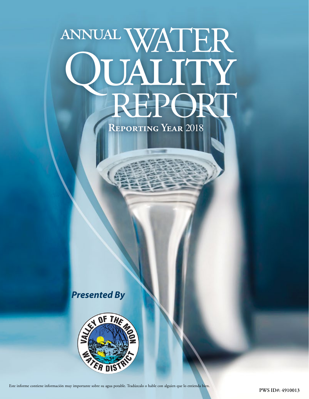# annualWATER QUALITY<br>REPORT

**Reporting Year** 2018

*Presented By*



Este informe contiene información muy importante sobre su agua potable. Tradúzcalo o hable con alguien que lo entienda bien.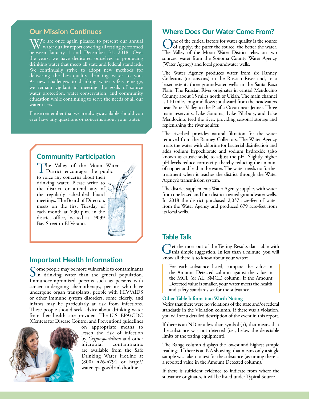### **Our Mission Continues**

 $\overline{\textbf{W}}$ /e are once again pleased to present our annual water quality report covering all testing performed between January 1 and December 31, 2018. Over the years, we have dedicated ourselves to producing drinking water that meets all state and federal standards. We continually strive to adopt new methods for delivering the best-quality drinking water to you. As new challenges to drinking water safety emerge, we remain vigilant in meeting the goals of source water protection, water conservation, and community education while continuing to serve the needs of all our water users.

Please remember that we are always available should you ever have any questions or concerns about your water.

# **Community Participation**

The Valley of the Moon Water<br>District encourages the public<br>to wise our concerne shout their to voice any concerns about their drinking water. Please write to the district or attend any of the regularly scheduled board meetings. The Board of Directors meets on the first Tuesday of each month at 6:30 p.m. in the district office, located at 19039 Bay Street in El Verano.

## **Important Health Information**

Some people may be more vulnerable to contaminants<br>in drinking water than the general population. Immunocompromised persons such as persons with cancer undergoing chemotherapy, persons who have undergone organ transplants, people with HIV/AIDS or other immune system disorders, some elderly, and infants may be particularly at risk from infections. These people should seek advice about drinking water from their health care providers. The U.S. EPA/CDC (Centers for Disease Control and Prevention) guidelines



on appropriate means to lessen the risk of infection by *Cryptosporidium* and other microbial contaminants are available from the Safe Drinking Water Hotline at (800) 426-4791 or [http://](http://water.epa.gov/drink/hotline) [water.epa.gov/drink/hotline.](http://water.epa.gov/drink/hotline)

#### **Where Does Our Water Come From?**

One of the critical factors for water quality is the source of supply; the purer the source, the better the water. The Valley of the Moon Water District relies on two sources: water from the Sonoma County Water Agency (Water Agency) and local groundwater wells.

The Water Agency produces water from six Ranney Collectors (or caissons) in the Russian River and, to a lesser extent, three groundwater wells in the Santa Rosa Plain. The Russian River originates in central Mendocino County, about 15 miles north of Ukiah. The main channel is 110 miles long and flows southward from the headwaters near Potter Valley to the Pacific Ocean near Jenner. Three main reservoirs, Lake Sonoma, Lake Pillsbury, and Lake Mendocino, feed the river, providing seasonal storage and replenishing the river aquifer.

The riverbed provides natural filtration for the water removed from the Ranney Collectors. The Water Agency treats the water with chlorine for bacterial disinfection and adds sodium hypochlorate and sodium hydroxide (also known as caustic soda) to adjust the pH. Slightly higher pH levels reduce corrosivity, thereby reducing the amount of copper and lead in the water. The water needs no further treatment when it reaches the district through the Water Agency's transmission system.

The district supplements Water Agency supplies with water from one leased and four district-owned groundwater wells. In 2018 the district purchased 2,037 acre-feet of water from the Water Agency and produced 679 acre-feet from its local wells.

#### **Table Talk**

Get the most out of the Testing Results data table with this simple suggestion. In less than a minute, you will know all there is to know about your water:

For each substance listed, compare the value in the Amount Detected column against the value in the MCL (or AL, SMCL) column. If the Amount Detected value is smaller, your water meets the health and safety standards set for the substance.

#### **Other Table Information Worth Noting**

Verify that there were no violations of the state and/or federal standards in the Violation column. If there was a violation, you will see a detailed description of the event in this report.

If there is an ND or a less-than symbol (<), that means that the substance was not detected (i.e., below the detectable limits of the testing equipment).

The Range column displays the lowest and highest sample readings. If there is an NA showing, that means only a single sample was taken to test for the substance (assuming there is a reported value in the Amount Detected column).

If there is sufficient evidence to indicate from where the substance originates, it will be listed under Typical Source.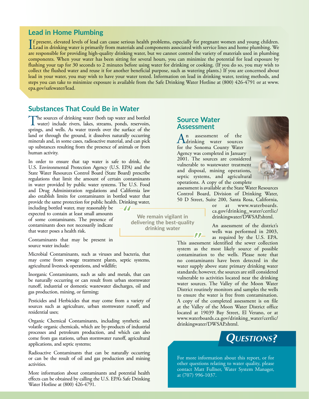#### **Lead in Home Plumbing**

If present, elevated levels of lead can cause serious health problems, especially for pregnant women and young children.<br>Lead in drinking water is primarily from materials and components associated with service lines and h f present, elevated levels of lead can cause serious health problems, especially for pregnant women and young children. are responsible for providing high-quality drinking water, but we cannot control the variety of materials used in plumbing components. When your water has been sitting for several hours, you can minimize the potential for lead exposure by flushing your tap for 30 seconds to 2 minutes before using water for drinking or cooking. (If you do so, you may wish to collect the flushed water and reuse it for another beneficial purpose, such as watering plants.) If you are concerned about lead in your water, you may wish to have your water tested. Information on lead in drinking water, testing methods, and steps you can take to minimize exposure is available from the Safe Drinking Water Hotline at (800) 426-4791 or at [www.](http://www.epa.gov/safewater/lead) [epa.gov/safewater/lead.](http://www.epa.gov/safewater/lead)

#### **Substances That Could Be in Water**

The sources of drinking water (both tap water and bottled water) include rivers, lakes, streams, ponds, reservoirs, springs, and wells. As water travels over the surface of the land or through the ground, it dissolves naturally occurring minerals and, in some cases, radioactive material, and can pick up substances resulting from the presence of animals or from human activity.

In order to ensure that tap water is safe to drink, the U.S. Environmental Protection Agency (U.S. EPA) and the State Water Resources Control Board (State Board) prescribe regulations that limit the amount of certain contaminants in water provided by public water systems. The U.S. Food and Drug Administration regulations and California law also establish limits for contaminants in bottled water that provide the same protection for public health. Drinking water,

 $-11$ 

including bottled water, may reasonably be expected to contain at least small amounts of some contaminants. The presence of contaminants does not necessarily indicate that water poses a health risk.

Contaminants that may be present in source water include:

Microbial Contaminants, such as viruses and bacteria, that may come from sewage treatment plants, septic systems, agricultural livestock operations, and wildlife;

Inorganic Contaminants, such as salts and metals, that can be naturally occurring or can result from urban stormwater runoff, industrial or domestic wastewater discharges, oil and gas production, mining, or farming;

Pesticides and Herbicides that may come from a variety of sources such as agriculture, urban stormwater runoff, and residential uses;

Organic Chemical Contaminants, including synthetic and volatile organic chemicals, which are by-products of industrial processes and petroleum production, and which can also come from gas stations, urban stormwater runoff, agricultural applications, and septic systems;

Radioactive Contaminants that can be naturally occurring or can be the result of oil and gas production and mining activities.

More information about contaminants and potential health effects can be obtained by calling the U.S. EPA's Safe Drinking Water Hotline at (800) 426-4791.

**We remain vigilant in delivering the best-quality drinking water**

## **Source Water Assessment**

 $\ell$   $\ell-$ 

An assessment of the<br>drinking water sources for the Sonoma County Water Agency was completed in January 2001. The sources are considered vulnerable to wastewater treatment and disposal, mining operations, septic systems, and agricultural operations. A copy of the complete



assessment is available at the State Water Resources Control Board, Division of Drinking Water, 50 D Street, Suite 200, Santa Rosa, California,

or at [www.waterboards.](http://www.waterboards.ca.gov/drinking_water/certlic/drinkingwater/DWSAP.shtml) [ca.gov/drinking\\_water/certlic/](http://www.waterboards.ca.gov/drinking_water/certlic/drinkingwater/DWSAP.shtml) [drinkingwater/DWSAP.shtml](http://www.waterboards.ca.gov/drinking_water/certlic/drinkingwater/DWSAP.shtml).

An assessment of the district's wells was performed in 2003, as required by the U.S. EPA.

This assessment identified the sewer collection system as the most likely source of possible contamination to the wells. Please note that no contaminants have been detected in the water supply above state primary drinking water standards; however, the sources are still considered vulnerable to activities located near the drinking water sources. The Valley of the Moon Water District routinely monitors and samples the wells to ensure the water is free from contamination. A copy of the completed assessment is on file at the Valley of the Moon Water District office located at 19039 Bay Street, El Verano, or at [www.waterboards.ca.gov/drinking\\_water/certlic/](http://www.waterboards.ca.gov/drinking_water/certlic/drinkingwater/DWSAP.shtml) [drinkingwater/DWSAP.shtml.](http://www.waterboards.ca.gov/drinking_water/certlic/drinkingwater/DWSAP.shtml)



For more information about this report, or for other questions relating to water quality, please contact Matt Fullner, Water System Manager, at (707) 996-1037.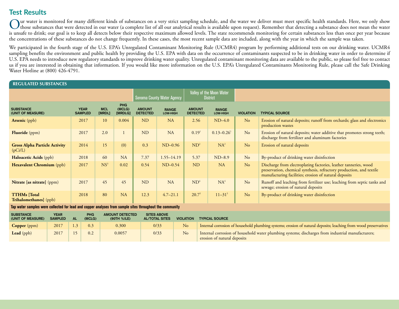# **Test Results**

Our water is monitored for many different kinds of substances on a very strict sampling schedule, and the water we deliver must meet specific health standards. Here, we only show<br>those substances that were detected in our is unsafe to drink; our goal is to keep all detects below their respective maximum allowed levels. The state recommends monitoring for certain substances less than once per year because the concentrations of these substances do not change frequently. In these cases, the most recent sample data are included, along with the year in which the sample was taken.

We participated in the fourth stage of the U.S. EPA's Unregulated Contaminant Monitoring Rule (UCMR4) program by performing additional tests on our drinking water. UCMR4 sampling benefits the environment and public health by providing the U.S. EPA with data on the occurrence of contaminants suspected to be in drinking water in order to determine if U.S. EPA needs to introduce new regulatory standards to improve drinking water quality. Unregulated contaminant monitoring data are available to the public, so please feel free to contact us if you are interested in obtaining that information. If you would like more information on the U.S. EPA's Unregulated Contaminants Monitoring Rule, please call the Safe Drinking Water Hotline at (800) 426-4791.

| <b>REGULATED SUBSTANCES</b>                     |                               |                      |                                 |                                  |                                             |                                  |                          |                  |                                                                                                                                                                                                   |  |
|-------------------------------------------------|-------------------------------|----------------------|---------------------------------|----------------------------------|---------------------------------------------|----------------------------------|--------------------------|------------------|---------------------------------------------------------------------------------------------------------------------------------------------------------------------------------------------------|--|
|                                                 |                               |                      | Sonoma County Water Agency      |                                  | Valley of the Moon Water<br><b>District</b> |                                  |                          |                  |                                                                                                                                                                                                   |  |
| <b>SUBSTANCE</b><br>(UNIT OF MEASURE)           | <b>YEAR</b><br><b>SAMPLED</b> | <b>MCL</b><br>[MRDL] | <b>PHG</b><br>(MCLG)<br>[MRDLG] | <b>AMOUNT</b><br><b>DETECTED</b> | <b>RANGE</b><br>LOW-HIGH                    | <b>AMOUNT</b><br><b>DETECTED</b> | <b>RANGE</b><br>LOW-HIGH | <b>VIOLATION</b> | <b>TYPICAL SOURCE</b>                                                                                                                                                                             |  |
| <b>Arsenic</b> (ppb)                            | 2017                          | 10 <sup>1</sup>      | 0.004                           | <b>ND</b>                        | <b>NA</b>                                   | 2.56                             | $ND-4.0$                 | N <sub>o</sub>   | Erosion of natural deposits; runoff from orchards; glass and electronics<br>production wastes                                                                                                     |  |
| <b>Fluoride</b> (ppm)                           | 2017                          | 2.0                  |                                 | <b>ND</b>                        | NA                                          | 0.19 <sup>1</sup>                | $0.13 - 0.26$            | No               | Erosion of natural deposits; water additive that promotes strong teeth;<br>discharge from fertilizer and aluminum factories                                                                       |  |
| <b>Gross Alpha Particle Activity</b><br>(pCi/L) | 2014                          | 15                   | (0)                             | 0.3                              | $ND-0.96$                                   | ND <sup>2</sup>                  | $NA^2$                   | No               | Erosion of natural deposits                                                                                                                                                                       |  |
| <b>Haloacetic Acids (ppb)</b>                   | 2018                          | 60                   | <b>NA</b>                       | 7.37                             | $1.55 - 14.19$                              | 5.37                             | $ND-8.9$                 | No               | By-product of drinking water disinfection                                                                                                                                                         |  |
| Hexavalent Chromium (ppb)                       | 2017                          | NS <sup>3</sup>      | 0.02                            | 0.54                             | $ND-0.54$                                   | <b>ND</b>                        | <b>NA</b>                | No               | Discharge from electroplating factories, leather tanneries, wood<br>preservation, chemical synthesis, refractory production, and textile<br>manufacturing facilities; erosion of natural deposits |  |
| <b>Nitrate [as nitrate]</b> (ppm)               | 2017                          | 45                   | 45                              | ND                               | NA                                          | ND <sup>4</sup>                  | NA <sup>4</sup>          | No               | Runoff and leaching from fertilizer use; leaching from septic tanks and<br>sewage; erosion of natural deposits                                                                                    |  |
| <b>TTHMs</b> [Total<br>Trihalomethanes] (ppb)   | 2018                          | 80                   | <b>NA</b>                       | 12.3                             | $4.7 - 21.1$                                | $20.7^5$                         | $11 - 31$ <sup>5</sup>   | N <sub>o</sub>   | By-product of drinking water disinfection                                                                                                                                                         |  |

**Tap water samples were collected for lead and copper analyses from sample sites throughout the community**

| <b>SUBSTANCE</b><br>(UNIT OF MEASURE) | <b>YEAR</b><br><b>SAMPLED</b> | <b>PHG</b><br>(MCLG) | <b>AMOUNT DETECTED</b><br>(90TH %ILE) | <b>SITES ABOVE</b><br><b>AL/TOTAL SITES</b> | <b>VIOLATION</b> | <b>TYPICAL SOURCE</b>                                                                                                            |
|---------------------------------------|-------------------------------|----------------------|---------------------------------------|---------------------------------------------|------------------|----------------------------------------------------------------------------------------------------------------------------------|
| <b>Copper</b> ( $ppm$ )               | 2017                          | 0.3                  | 0.300                                 | 0/33                                        | No               | Internal corrosion of household plumbing systems; erosion of natural deposits; leaching from wood preservatives                  |
| <b>Lead</b> (ppb)                     | 2017                          | 0.2                  | 0.0057                                | 0/33                                        | N <sub>o</sub>   | Internal corrosion of household water plumbing systems; discharges from industrial manufacturers;<br>erosion of natural deposits |